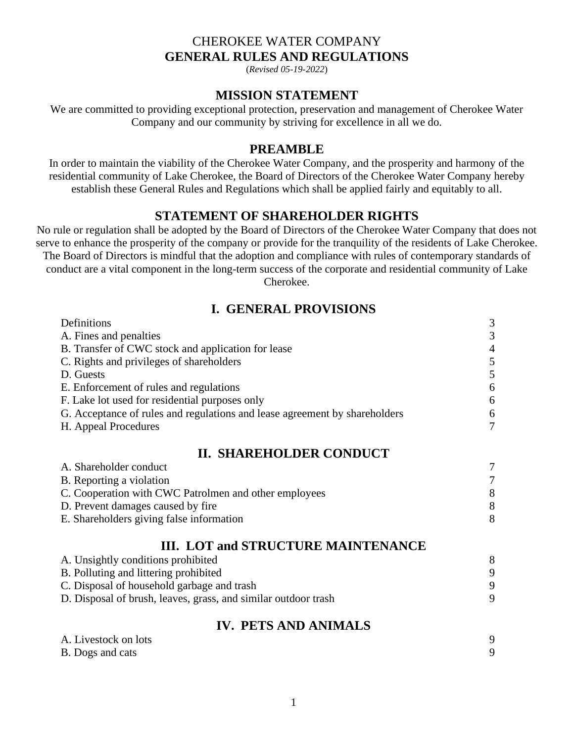## CHEROKEE WATER COMPANY **GENERAL RULES AND REGULATIONS**

(*Revised 05-19-2022*)

#### **MISSION STATEMENT**

We are committed to providing exceptional protection, preservation and management of Cherokee Water Company and our community by striving for excellence in all we do.

#### **PREAMBLE**

In order to maintain the viability of the Cherokee Water Company, and the prosperity and harmony of the residential community of Lake Cherokee, the Board of Directors of the Cherokee Water Company hereby establish these General Rules and Regulations which shall be applied fairly and equitably to all.

# **STATEMENT OF SHAREHOLDER RIGHTS**

No rule or regulation shall be adopted by the Board of Directors of the Cherokee Water Company that does not serve to enhance the prosperity of the company or provide for the tranquility of the residents of Lake Cherokee. The Board of Directors is mindful that the adoption and compliance with rules of contemporary standards of conduct are a vital component in the long-term success of the corporate and residential community of Lake Cherokee.

## **I. GENERAL PROVISIONS**

| Definitions                                                                | 3 |
|----------------------------------------------------------------------------|---|
| A. Fines and penalties                                                     | 3 |
| B. Transfer of CWC stock and application for lease                         | 4 |
| C. Rights and privileges of shareholders                                   | 5 |
| D. Guests                                                                  | 5 |
| E. Enforcement of rules and regulations                                    | 6 |
| F. Lake lot used for residential purposes only                             | 6 |
| G. Acceptance of rules and regulations and lease agreement by shareholders | 6 |
| H. Appeal Procedures                                                       | 7 |
| <b>II. SHAREHOLDER CONDUCT</b>                                             |   |
| A. Shareholder conduct                                                     | 7 |
| B. Reporting a violation                                                   | 7 |
| C. Cooperation with CWC Patrolmen and other employees                      |   |

| $\sim$ . Cooperation with $\sim$ $\sim$ 1 attompt and other employees |  |
|-----------------------------------------------------------------------|--|
| D. Prevent damages caused by fire                                     |  |
| E. Shareholders giving false information                              |  |

### **III. LOT and STRUCTURE MAINTENANCE**

| Q |
|---|
|   |
|   |

### **IV. PETS AND ANIMALS**

| A. Livestock on lots    |  |
|-------------------------|--|
| <b>B.</b> Dogs and cats |  |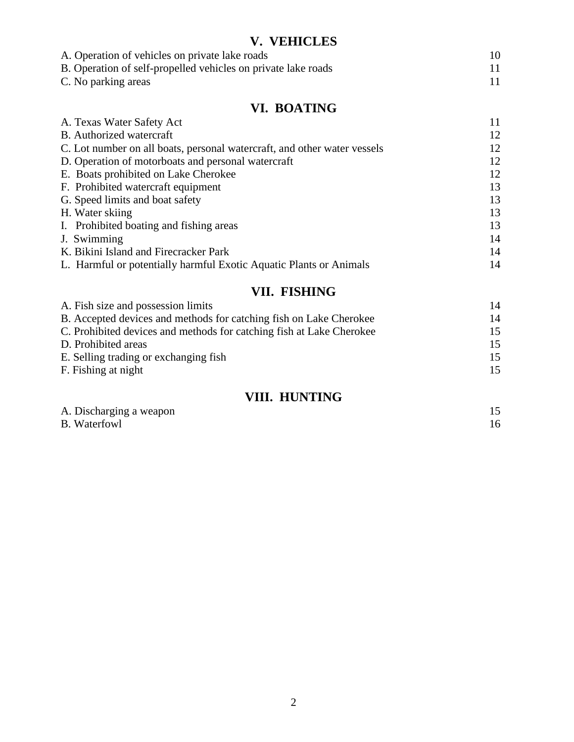# **V. VEHICLES**

| A. Operation of vehicles on private lake roads                |  |
|---------------------------------------------------------------|--|
| B. Operation of self-propelled vehicles on private lake roads |  |
| C. No parking areas                                           |  |

# **VI. BOATING**

| A. Texas Water Safety Act                                                | 11 |
|--------------------------------------------------------------------------|----|
| B. Authorized watercraft                                                 | 12 |
| C. Lot number on all boats, personal watercraft, and other water vessels | 12 |
| D. Operation of motorboats and personal watercraft                       | 12 |
| E. Boats prohibited on Lake Cherokee                                     | 12 |
| F. Prohibited watercraft equipment                                       | 13 |
| G. Speed limits and boat safety                                          | 13 |
| H. Water skiing                                                          | 13 |
| I. Prohibited boating and fishing areas                                  | 13 |
| J. Swimming                                                              | 14 |
| K. Bikini Island and Firecracker Park                                    | 14 |
| L. Harmful or potentially harmful Exotic Aquatic Plants or Animals       | 14 |
|                                                                          |    |

# **VII. FISHING**

| $\sim$ $\sim$ $\sim$ $\sim$ $\sim$                                   |    |
|----------------------------------------------------------------------|----|
| A. Fish size and possession limits                                   | 14 |
| B. Accepted devices and methods for catching fish on Lake Cherokee   | 14 |
| C. Prohibited devices and methods for catching fish at Lake Cherokee | 15 |
| D. Prohibited areas                                                  | 15 |
| E. Selling trading or exchanging fish                                | 15 |
| F. Fishing at night                                                  | 15 |
|                                                                      |    |

# **VIII. HUNTING**

| A. Discharging a weapon |  |
|-------------------------|--|
| <b>B.</b> Waterfowl     |  |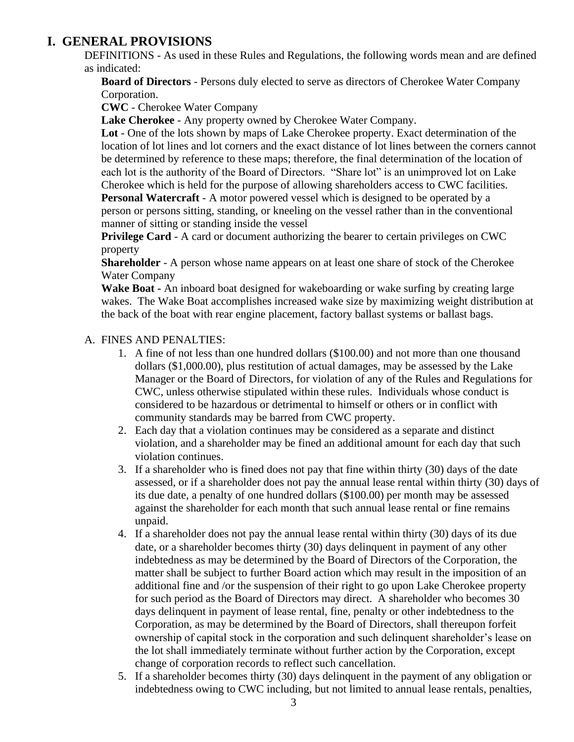# **I. GENERAL PROVISIONS**

DEFINITIONS - As used in these Rules and Regulations, the following words mean and are defined as indicated:

**Board of Directors** - Persons duly elected to serve as directors of Cherokee Water Company Corporation.

**CWC** - Cherokee Water Company

**Lake Cherokee** - Any property owned by Cherokee Water Company.

**Lot** - One of the lots shown by maps of Lake Cherokee property. Exact determination of the location of lot lines and lot corners and the exact distance of lot lines between the corners cannot be determined by reference to these maps; therefore, the final determination of the location of each lot is the authority of the Board of Directors. "Share lot" is an unimproved lot on Lake Cherokee which is held for the purpose of allowing shareholders access to CWC facilities.

**Personal Watercraft** - A motor powered vessel which is designed to be operated by a person or persons sitting, standing, or kneeling on the vessel rather than in the conventional manner of sitting or standing inside the vessel

**Privilege Card** - A card or document authorizing the bearer to certain privileges on CWC property

**Shareholder** - A person whose name appears on at least one share of stock of the Cherokee Water Company

**Wake Boat -** An inboard boat designed for wakeboarding or wake surfing by creating large wakes. The Wake Boat accomplishes increased wake size by maximizing weight distribution at the back of the boat with rear engine placement, factory ballast systems or ballast bags.

#### A. FINES AND PENALTIES:

- 1. A fine of not less than one hundred dollars (\$100.00) and not more than one thousand dollars (\$1,000.00), plus restitution of actual damages, may be assessed by the Lake Manager or the Board of Directors, for violation of any of the Rules and Regulations for CWC, unless otherwise stipulated within these rules. Individuals whose conduct is considered to be hazardous or detrimental to himself or others or in conflict with community standards may be barred from CWC property.
- 2. Each day that a violation continues may be considered as a separate and distinct violation, and a shareholder may be fined an additional amount for each day that such violation continues.
- 3. If a shareholder who is fined does not pay that fine within thirty (30) days of the date assessed, or if a shareholder does not pay the annual lease rental within thirty (30) days of its due date, a penalty of one hundred dollars (\$100.00) per month may be assessed against the shareholder for each month that such annual lease rental or fine remains unpaid.
- 4. If a shareholder does not pay the annual lease rental within thirty (30) days of its due date, or a shareholder becomes thirty (30) days delinquent in payment of any other indebtedness as may be determined by the Board of Directors of the Corporation, the matter shall be subject to further Board action which may result in the imposition of an additional fine and /or the suspension of their right to go upon Lake Cherokee property for such period as the Board of Directors may direct. A shareholder who becomes 30 days delinquent in payment of lease rental, fine, penalty or other indebtedness to the Corporation, as may be determined by the Board of Directors, shall thereupon forfeit ownership of capital stock in the corporation and such delinquent shareholder's lease on the lot shall immediately terminate without further action by the Corporation, except change of corporation records to reflect such cancellation.
- 5. If a shareholder becomes thirty (30) days delinquent in the payment of any obligation or indebtedness owing to CWC including, but not limited to annual lease rentals, penalties,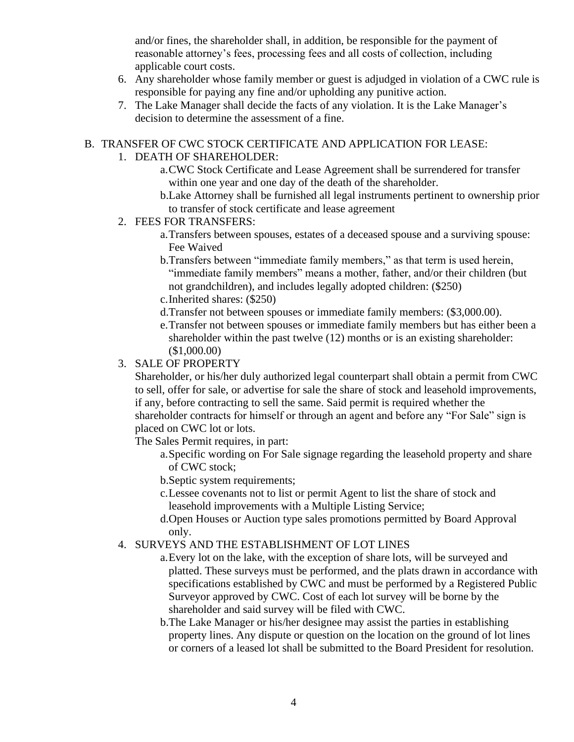and/or fines, the shareholder shall, in addition, be responsible for the payment of reasonable attorney's fees, processing fees and all costs of collection, including applicable court costs.

- 6. Any shareholder whose family member or guest is adjudged in violation of a CWC rule is responsible for paying any fine and/or upholding any punitive action.
- 7. The Lake Manager shall decide the facts of any violation. It is the Lake Manager's decision to determine the assessment of a fine.

### B. TRANSFER OF CWC STOCK CERTIFICATE AND APPLICATION FOR LEASE:

## 1. DEATH OF SHAREHOLDER:

- a.CWC Stock Certificate and Lease Agreement shall be surrendered for transfer within one year and one day of the death of the shareholder.
- b.Lake Attorney shall be furnished all legal instruments pertinent to ownership prior to transfer of stock certificate and lease agreement
- 2. FEES FOR TRANSFERS:
	- a.Transfers between spouses, estates of a deceased spouse and a surviving spouse: Fee Waived
	- b.Transfers between "immediate family members," as that term is used herein, "immediate family members" means a mother, father, and/or their children (but not grandchildren), and includes legally adopted children: (\$250)
	- c.Inherited shares: (\$250)
	- d.Transfer not between spouses or immediate family members: (\$3,000.00).
	- e.Transfer not between spouses or immediate family members but has either been a shareholder within the past twelve (12) months or is an existing shareholder: (\$1,000.00)

## 3. SALE OF PROPERTY

Shareholder, or his/her duly authorized legal counterpart shall obtain a permit from CWC to sell, offer for sale, or advertise for sale the share of stock and leasehold improvements, if any, before contracting to sell the same. Said permit is required whether the shareholder contracts for himself or through an agent and before any "For Sale" sign is placed on CWC lot or lots.

The Sales Permit requires, in part:

- a.Specific wording on For Sale signage regarding the leasehold property and share of CWC stock;
- b.Septic system requirements;
- c.Lessee covenants not to list or permit Agent to list the share of stock and leasehold improvements with a Multiple Listing Service;
- d.Open Houses or Auction type sales promotions permitted by Board Approval only.

### 4. SURVEYS AND THE ESTABLISHMENT OF LOT LINES

- a.Every lot on the lake, with the exception of share lots, will be surveyed and platted. These surveys must be performed, and the plats drawn in accordance with specifications established by CWC and must be performed by a Registered Public Surveyor approved by CWC. Cost of each lot survey will be borne by the shareholder and said survey will be filed with CWC.
- b.The Lake Manager or his/her designee may assist the parties in establishing property lines. Any dispute or question on the location on the ground of lot lines or corners of a leased lot shall be submitted to the Board President for resolution.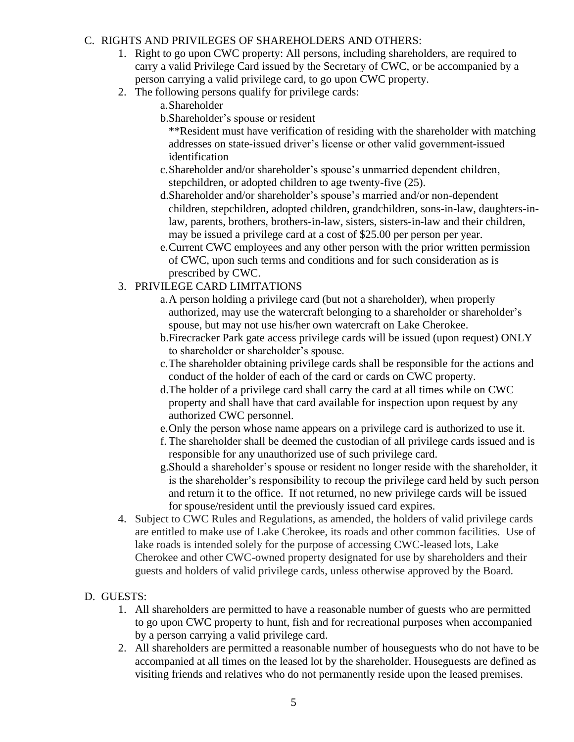### C. RIGHTS AND PRIVILEGES OF SHAREHOLDERS AND OTHERS:

- 1. Right to go upon CWC property: All persons, including shareholders, are required to carry a valid Privilege Card issued by the Secretary of CWC, or be accompanied by a person carrying a valid privilege card, to go upon CWC property.
- 2. The following persons qualify for privilege cards:
	- a.Shareholder

b.Shareholder's spouse or resident

\*\*Resident must have verification of residing with the shareholder with matching addresses on state-issued driver's license or other valid government-issued identification

- c.Shareholder and/or shareholder's spouse's unmarried dependent children, stepchildren, or adopted children to age twenty-five (25).
- d.Shareholder and/or shareholder's spouse's married and/or non-dependent children, stepchildren, adopted children, grandchildren, sons-in-law, daughters-inlaw, parents, brothers, brothers-in-law, sisters, sisters-in-law and their children, may be issued a privilege card at a cost of \$25.00 per person per year.
- e.Current CWC employees and any other person with the prior written permission of CWC, upon such terms and conditions and for such consideration as is prescribed by CWC.

## 3. PRIVILEGE CARD LIMITATIONS

- a.A person holding a privilege card (but not a shareholder), when properly authorized, may use the watercraft belonging to a shareholder or shareholder's spouse, but may not use his/her own watercraft on Lake Cherokee.
- b.Firecracker Park gate access privilege cards will be issued (upon request) ONLY to shareholder or shareholder's spouse.
- c.The shareholder obtaining privilege cards shall be responsible for the actions and conduct of the holder of each of the card or cards on CWC property.
- d.The holder of a privilege card shall carry the card at all times while on CWC property and shall have that card available for inspection upon request by any authorized CWC personnel.
- e.Only the person whose name appears on a privilege card is authorized to use it.
- f. The shareholder shall be deemed the custodian of all privilege cards issued and is responsible for any unauthorized use of such privilege card.
- g.Should a shareholder's spouse or resident no longer reside with the shareholder, it is the shareholder's responsibility to recoup the privilege card held by such person and return it to the office. If not returned, no new privilege cards will be issued for spouse/resident until the previously issued card expires.
- 4. Subject to CWC Rules and Regulations, as amended, the holders of valid privilege cards are entitled to make use of Lake Cherokee, its roads and other common facilities. Use of lake roads is intended solely for the purpose of accessing CWC-leased lots, Lake Cherokee and other CWC-owned property designated for use by shareholders and their guests and holders of valid privilege cards, unless otherwise approved by the Board.

### D. GUESTS:

- 1. All shareholders are permitted to have a reasonable number of guests who are permitted to go upon CWC property to hunt, fish and for recreational purposes when accompanied by a person carrying a valid privilege card.
- 2. All shareholders are permitted a reasonable number of houseguests who do not have to be accompanied at all times on the leased lot by the shareholder. Houseguests are defined as visiting friends and relatives who do not permanently reside upon the leased premises.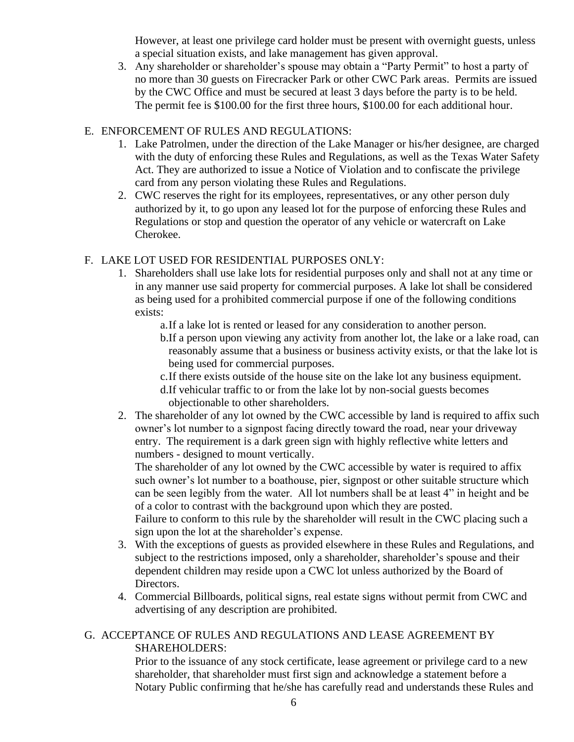However, at least one privilege card holder must be present with overnight guests, unless a special situation exists, and lake management has given approval.

3. Any shareholder or shareholder's spouse may obtain a "Party Permit" to host a party of no more than 30 guests on Firecracker Park or other CWC Park areas. Permits are issued by the CWC Office and must be secured at least 3 days before the party is to be held. The permit fee is \$100.00 for the first three hours, \$100.00 for each additional hour.

### E. ENFORCEMENT OF RULES AND REGULATIONS:

- 1. Lake Patrolmen, under the direction of the Lake Manager or his/her designee, are charged with the duty of enforcing these Rules and Regulations, as well as the Texas Water Safety Act. They are authorized to issue a Notice of Violation and to confiscate the privilege card from any person violating these Rules and Regulations.
- 2. CWC reserves the right for its employees, representatives, or any other person duly authorized by it, to go upon any leased lot for the purpose of enforcing these Rules and Regulations or stop and question the operator of any vehicle or watercraft on Lake Cherokee.

### F. LAKE LOT USED FOR RESIDENTIAL PURPOSES ONLY:

1. Shareholders shall use lake lots for residential purposes only and shall not at any time or in any manner use said property for commercial purposes. A lake lot shall be considered as being used for a prohibited commercial purpose if one of the following conditions exists:

a.If a lake lot is rented or leased for any consideration to another person.

b.If a person upon viewing any activity from another lot, the lake or a lake road, can reasonably assume that a business or business activity exists, or that the lake lot is being used for commercial purposes.

- c.If there exists outside of the house site on the lake lot any business equipment.
- d.If vehicular traffic to or from the lake lot by non-social guests becomes objectionable to other shareholders.
- 2. The shareholder of any lot owned by the CWC accessible by land is required to affix such owner's lot number to a signpost facing directly toward the road, near your driveway entry. The requirement is a dark green sign with highly reflective white letters and numbers - designed to mount vertically.

The shareholder of any lot owned by the CWC accessible by water is required to affix such owner's lot number to a boathouse, pier, signpost or other suitable structure which can be seen legibly from the water. All lot numbers shall be at least 4" in height and be of a color to contrast with the background upon which they are posted.

Failure to conform to this rule by the shareholder will result in the CWC placing such a sign upon the lot at the shareholder's expense.

- 3. With the exceptions of guests as provided elsewhere in these Rules and Regulations, and subject to the restrictions imposed, only a shareholder, shareholder's spouse and their dependent children may reside upon a CWC lot unless authorized by the Board of Directors.
- 4. Commercial Billboards, political signs, real estate signs without permit from CWC and advertising of any description are prohibited.

### G. ACCEPTANCE OF RULES AND REGULATIONS AND LEASE AGREEMENT BY SHAREHOLDERS:

Prior to the issuance of any stock certificate, lease agreement or privilege card to a new shareholder, that shareholder must first sign and acknowledge a statement before a Notary Public confirming that he/she has carefully read and understands these Rules and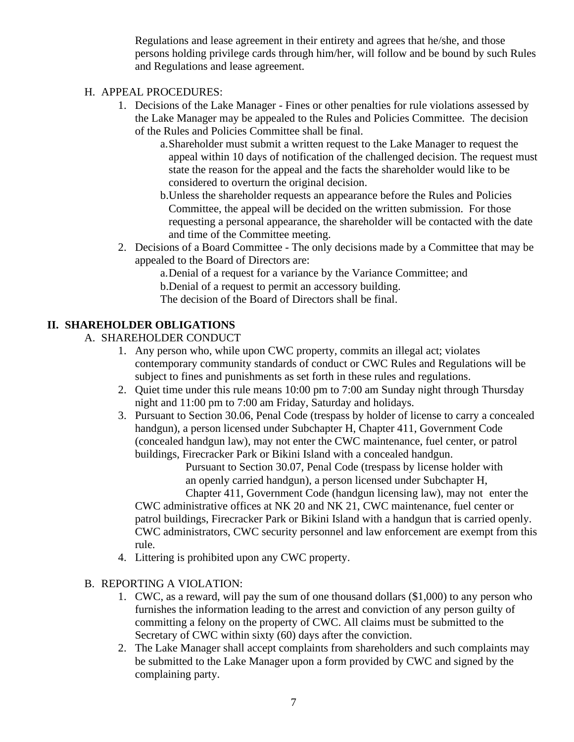Regulations and lease agreement in their entirety and agrees that he/she, and those persons holding privilege cards through him/her, will follow and be bound by such Rules and Regulations and lease agreement.

#### H. APPEAL PROCEDURES:

- 1. Decisions of the Lake Manager Fines or other penalties for rule violations assessed by the Lake Manager may be appealed to the Rules and Policies Committee. The decision of the Rules and Policies Committee shall be final.
	- a.Shareholder must submit a written request to the Lake Manager to request the appeal within 10 days of notification of the challenged decision. The request must state the reason for the appeal and the facts the shareholder would like to be considered to overturn the original decision.
	- b.Unless the shareholder requests an appearance before the Rules and Policies Committee, the appeal will be decided on the written submission. For those requesting a personal appearance, the shareholder will be contacted with the date and time of the Committee meeting.
- 2. Decisions of a Board Committee The only decisions made by a Committee that may be appealed to the Board of Directors are:

a.Denial of a request for a variance by the Variance Committee; and b.Denial of a request to permit an accessory building. The decision of the Board of Directors shall be final.

### **II. SHAREHOLDER OBLIGATIONS**

- A. SHAREHOLDER CONDUCT
	- 1. Any person who, while upon CWC property, commits an illegal act; violates contemporary community standards of conduct or CWC Rules and Regulations will be subject to fines and punishments as set forth in these rules and regulations.
	- 2. Quiet time under this rule means 10:00 pm to 7:00 am Sunday night through Thursday night and 11:00 pm to 7:00 am Friday, Saturday and holidays.
	- 3. Pursuant to Section 30.06, Penal Code (trespass by holder of license to carry a concealed handgun), a person licensed under Subchapter H, Chapter 411, Government Code (concealed handgun law), may not enter the CWC maintenance, fuel center, or patrol buildings, Firecracker Park or Bikini Island with a concealed handgun.

Pursuant to Section 30.07, Penal Code (trespass by license holder with an openly carried handgun), a person licensed under Subchapter H,

Chapter 411, Government Code (handgun licensing law), may not enter the CWC administrative offices at NK 20 and NK 21, CWC maintenance, fuel center or patrol buildings, Firecracker Park or Bikini Island with a handgun that is carried openly. CWC administrators, CWC security personnel and law enforcement are exempt from this rule.

- 4. Littering is prohibited upon any CWC property.
- B. REPORTING A VIOLATION:
	- 1. CWC, as a reward, will pay the sum of one thousand dollars (\$1,000) to any person who furnishes the information leading to the arrest and conviction of any person guilty of committing a felony on the property of CWC. All claims must be submitted to the Secretary of CWC within sixty (60) days after the conviction.
	- 2. The Lake Manager shall accept complaints from shareholders and such complaints may be submitted to the Lake Manager upon a form provided by CWC and signed by the complaining party.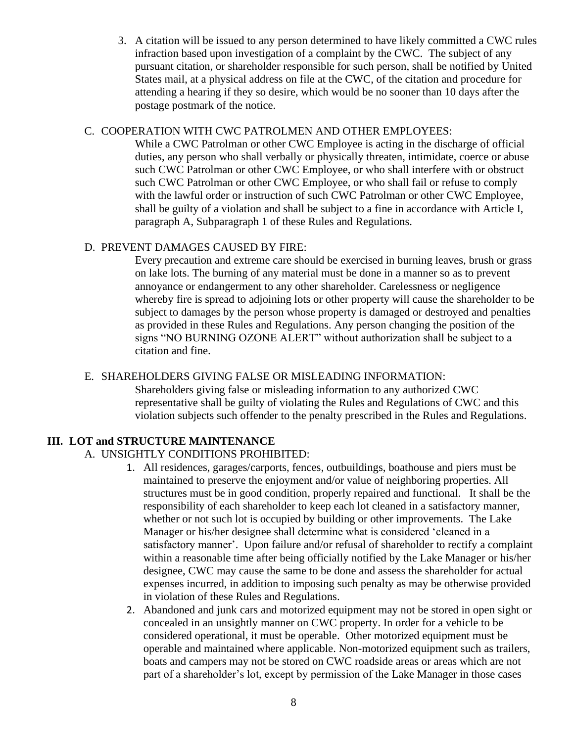3. A citation will be issued to any person determined to have likely committed a CWC rules infraction based upon investigation of a complaint by the CWC. The subject of any pursuant citation, or shareholder responsible for such person, shall be notified by United States mail, at a physical address on file at the CWC, of the citation and procedure for attending a hearing if they so desire, which would be no sooner than 10 days after the postage postmark of the notice.

#### C. COOPERATION WITH CWC PATROLMEN AND OTHER EMPLOYEES:

While a CWC Patrolman or other CWC Employee is acting in the discharge of official duties, any person who shall verbally or physically threaten, intimidate, coerce or abuse such CWC Patrolman or other CWC Employee, or who shall interfere with or obstruct such CWC Patrolman or other CWC Employee, or who shall fail or refuse to comply with the lawful order or instruction of such CWC Patrolman or other CWC Employee, shall be guilty of a violation and shall be subject to a fine in accordance with Article I, paragraph A, Subparagraph 1 of these Rules and Regulations.

### D. PREVENT DAMAGES CAUSED BY FIRE:

Every precaution and extreme care should be exercised in burning leaves, brush or grass on lake lots. The burning of any material must be done in a manner so as to prevent annoyance or endangerment to any other shareholder. Carelessness or negligence whereby fire is spread to adjoining lots or other property will cause the shareholder to be subject to damages by the person whose property is damaged or destroyed and penalties as provided in these Rules and Regulations. Any person changing the position of the signs "NO BURNING OZONE ALERT" without authorization shall be subject to a citation and fine.

### E. SHAREHOLDERS GIVING FALSE OR MISLEADING INFORMATION:

Shareholders giving false or misleading information to any authorized CWC representative shall be guilty of violating the Rules and Regulations of CWC and this violation subjects such offender to the penalty prescribed in the Rules and Regulations.

## **III. LOT and STRUCTURE MAINTENANCE**

### A. UNSIGHTLY CONDITIONS PROHIBITED:

- 1. All residences, garages/carports, fences, outbuildings, boathouse and piers must be maintained to preserve the enjoyment and/or value of neighboring properties. All structures must be in good condition, properly repaired and functional. It shall be the responsibility of each shareholder to keep each lot cleaned in a satisfactory manner, whether or not such lot is occupied by building or other improvements. The Lake Manager or his/her designee shall determine what is considered 'cleaned in a satisfactory manner'. Upon failure and/or refusal of shareholder to rectify a complaint within a reasonable time after being officially notified by the Lake Manager or his/her designee, CWC may cause the same to be done and assess the shareholder for actual expenses incurred, in addition to imposing such penalty as may be otherwise provided in violation of these Rules and Regulations.
- 2. Abandoned and junk cars and motorized equipment may not be stored in open sight or concealed in an unsightly manner on CWC property. In order for a vehicle to be considered operational, it must be operable. Other motorized equipment must be operable and maintained where applicable. Non-motorized equipment such as trailers, boats and campers may not be stored on CWC roadside areas or areas which are not part of a shareholder's lot, except by permission of the Lake Manager in those cases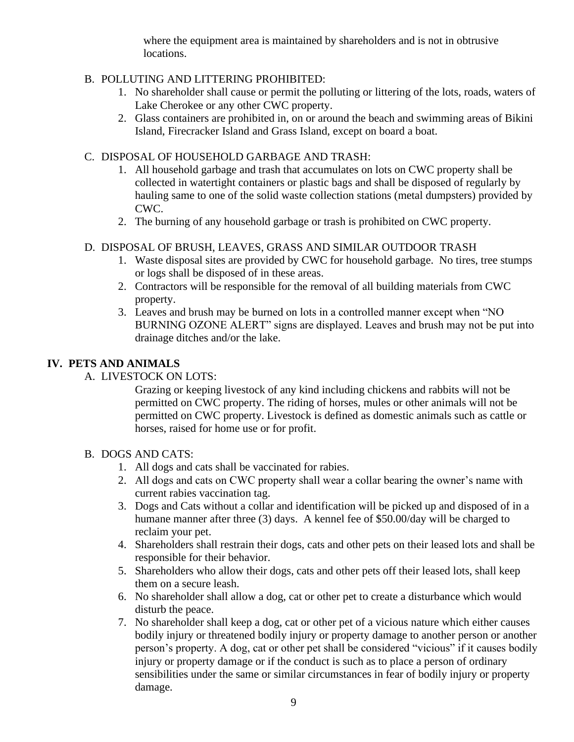where the equipment area is maintained by shareholders and is not in obtrusive locations.

## B. POLLUTING AND LITTERING PROHIBITED:

- 1. No shareholder shall cause or permit the polluting or littering of the lots, roads, waters of Lake Cherokee or any other CWC property.
- 2. Glass containers are prohibited in, on or around the beach and swimming areas of Bikini Island, Firecracker Island and Grass Island, except on board a boat.

### C. DISPOSAL OF HOUSEHOLD GARBAGE AND TRASH:

- 1. All household garbage and trash that accumulates on lots on CWC property shall be collected in watertight containers or plastic bags and shall be disposed of regularly by hauling same to one of the solid waste collection stations (metal dumpsters) provided by CWC.
- 2. The burning of any household garbage or trash is prohibited on CWC property.

## D. DISPOSAL OF BRUSH, LEAVES, GRASS AND SIMILAR OUTDOOR TRASH

- 1. Waste disposal sites are provided by CWC for household garbage. No tires, tree stumps or logs shall be disposed of in these areas.
- 2. Contractors will be responsible for the removal of all building materials from CWC property.
- 3. Leaves and brush may be burned on lots in a controlled manner except when "NO BURNING OZONE ALERT" signs are displayed. Leaves and brush may not be put into drainage ditches and/or the lake.

# **IV. PETS AND ANIMALS**

A. LIVESTOCK ON LOTS:

Grazing or keeping livestock of any kind including chickens and rabbits will not be permitted on CWC property. The riding of horses, mules or other animals will not be permitted on CWC property. Livestock is defined as domestic animals such as cattle or horses, raised for home use or for profit.

### B. DOGS AND CATS:

- 1. All dogs and cats shall be vaccinated for rabies.
- 2. All dogs and cats on CWC property shall wear a collar bearing the owner's name with current rabies vaccination tag.
- 3. Dogs and Cats without a collar and identification will be picked up and disposed of in a humane manner after three (3) days. A kennel fee of \$50.00/day will be charged to reclaim your pet.
- 4. Shareholders shall restrain their dogs, cats and other pets on their leased lots and shall be responsible for their behavior.
- 5. Shareholders who allow their dogs, cats and other pets off their leased lots, shall keep them on a secure leash.
- 6. No shareholder shall allow a dog, cat or other pet to create a disturbance which would disturb the peace.
- 7. No shareholder shall keep a dog, cat or other pet of a vicious nature which either causes bodily injury or threatened bodily injury or property damage to another person or another person's property. A dog, cat or other pet shall be considered "vicious" if it causes bodily injury or property damage or if the conduct is such as to place a person of ordinary sensibilities under the same or similar circumstances in fear of bodily injury or property damage.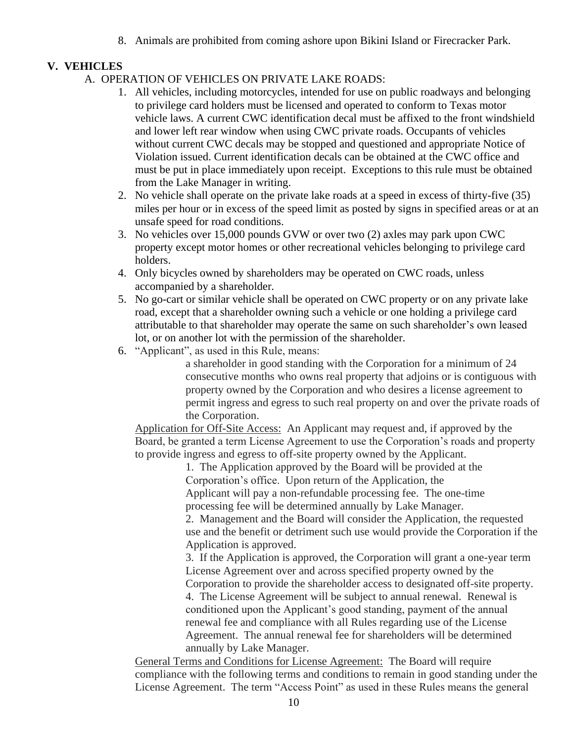8. Animals are prohibited from coming ashore upon Bikini Island or Firecracker Park.

## **V. VEHICLES**

- A. OPERATION OF VEHICLES ON PRIVATE LAKE ROADS:
	- 1. All vehicles, including motorcycles, intended for use on public roadways and belonging to privilege card holders must be licensed and operated to conform to Texas motor vehicle laws. A current CWC identification decal must be affixed to the front windshield and lower left rear window when using CWC private roads. Occupants of vehicles without current CWC decals may be stopped and questioned and appropriate Notice of Violation issued. Current identification decals can be obtained at the CWC office and must be put in place immediately upon receipt. Exceptions to this rule must be obtained from the Lake Manager in writing.
	- 2. No vehicle shall operate on the private lake roads at a speed in excess of thirty-five (35) miles per hour or in excess of the speed limit as posted by signs in specified areas or at an unsafe speed for road conditions.
	- 3. No vehicles over 15,000 pounds GVW or over two (2) axles may park upon CWC property except motor homes or other recreational vehicles belonging to privilege card holders.
	- 4. Only bicycles owned by shareholders may be operated on CWC roads, unless accompanied by a shareholder.
	- 5. No go-cart or similar vehicle shall be operated on CWC property or on any private lake road, except that a shareholder owning such a vehicle or one holding a privilege card attributable to that shareholder may operate the same on such shareholder's own leased lot, or on another lot with the permission of the shareholder.
	- 6. "Applicant", as used in this Rule, means:

a shareholder in good standing with the Corporation for a minimum of 24 consecutive months who owns real property that adjoins or is contiguous with property owned by the Corporation and who desires a license agreement to permit ingress and egress to such real property on and over the private roads of the Corporation.

Application for Off-Site Access: An Applicant may request and, if approved by the Board, be granted a term License Agreement to use the Corporation's roads and property to provide ingress and egress to off-site property owned by the Applicant.

1. The Application approved by the Board will be provided at the Corporation's office. Upon return of the Application, the Applicant will pay a non-refundable processing fee. The one-time processing fee will be determined annually by Lake Manager.

2. Management and the Board will consider the Application, the requested use and the benefit or detriment such use would provide the Corporation if the Application is approved.

3. If the Application is approved, the Corporation will grant a one-year term License Agreement over and across specified property owned by the Corporation to provide the shareholder access to designated off-site property. 4. The License Agreement will be subject to annual renewal. Renewal is conditioned upon the Applicant's good standing, payment of the annual renewal fee and compliance with all Rules regarding use of the License Agreement. The annual renewal fee for shareholders will be determined annually by Lake Manager.

General Terms and Conditions for License Agreement: The Board will require compliance with the following terms and conditions to remain in good standing under the License Agreement. The term "Access Point" as used in these Rules means the general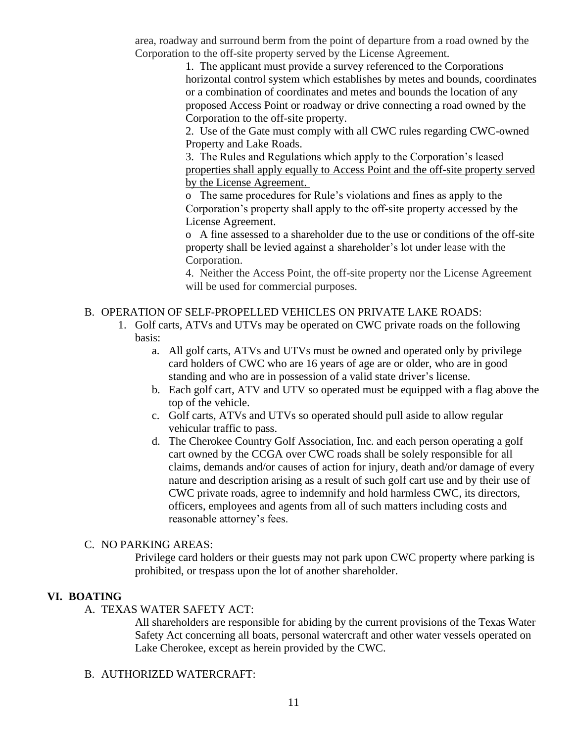area, roadway and surround berm from the point of departure from a road owned by the Corporation to the off-site property served by the License Agreement.

> 1. The applicant must provide a survey referenced to the Corporations horizontal control system which establishes by metes and bounds, coordinates or a combination of coordinates and metes and bounds the location of any proposed Access Point or roadway or drive connecting a road owned by the Corporation to the off-site property.

2. Use of the Gate must comply with all CWC rules regarding CWC-owned Property and Lake Roads.

3. The Rules and Regulations which apply to the Corporation's leased properties shall apply equally to Access Point and the off-site property served by the License Agreement.

o The same procedures for Rule's violations and fines as apply to the Corporation's property shall apply to the off-site property accessed by the License Agreement.

o A fine assessed to a shareholder due to the use or conditions of the off-site property shall be levied against a shareholder's lot under lease with the Corporation.

4. Neither the Access Point, the off-site property nor the License Agreement will be used for commercial purposes.

### B. OPERATION OF SELF-PROPELLED VEHICLES ON PRIVATE LAKE ROADS:

- 1. Golf carts, ATVs and UTVs may be operated on CWC private roads on the following basis:
	- a. All golf carts, ATVs and UTVs must be owned and operated only by privilege card holders of CWC who are 16 years of age are or older, who are in good standing and who are in possession of a valid state driver's license.
	- b. Each golf cart, ATV and UTV so operated must be equipped with a flag above the top of the vehicle.
	- c. Golf carts, ATVs and UTVs so operated should pull aside to allow regular vehicular traffic to pass.
	- d. The Cherokee Country Golf Association, Inc. and each person operating a golf cart owned by the CCGA over CWC roads shall be solely responsible for all claims, demands and/or causes of action for injury, death and/or damage of every nature and description arising as a result of such golf cart use and by their use of CWC private roads, agree to indemnify and hold harmless CWC, its directors, officers, employees and agents from all of such matters including costs and reasonable attorney's fees.

### C. NO PARKING AREAS:

Privilege card holders or their guests may not park upon CWC property where parking is prohibited, or trespass upon the lot of another shareholder.

### **VI. BOATING**

A. TEXAS WATER SAFETY ACT:

All shareholders are responsible for abiding by the current provisions of the Texas Water Safety Act concerning all boats, personal watercraft and other water vessels operated on Lake Cherokee, except as herein provided by the CWC.

B. AUTHORIZED WATERCRAFT: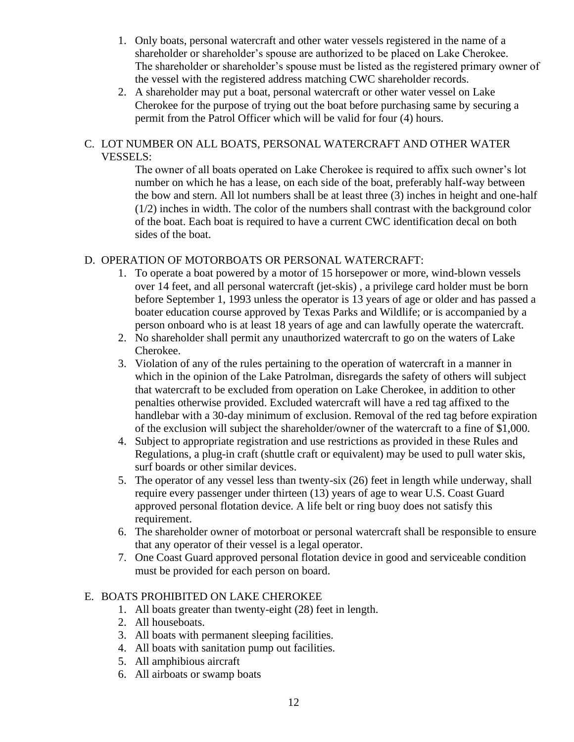- 1. Only boats, personal watercraft and other water vessels registered in the name of a shareholder or shareholder's spouse are authorized to be placed on Lake Cherokee. The shareholder or shareholder's spouse must be listed as the registered primary owner of the vessel with the registered address matching CWC shareholder records.
- 2. A shareholder may put a boat, personal watercraft or other water vessel on Lake Cherokee for the purpose of trying out the boat before purchasing same by securing a permit from the Patrol Officer which will be valid for four (4) hours.

#### C. LOT NUMBER ON ALL BOATS, PERSONAL WATERCRAFT AND OTHER WATER VESSELS:

The owner of all boats operated on Lake Cherokee is required to affix such owner's lot number on which he has a lease, on each side of the boat, preferably half-way between the bow and stern. All lot numbers shall be at least three (3) inches in height and one-half  $(1/2)$  inches in width. The color of the numbers shall contrast with the background color of the boat. Each boat is required to have a current CWC identification decal on both sides of the boat.

### D. OPERATION OF MOTORBOATS OR PERSONAL WATERCRAFT:

- 1. To operate a boat powered by a motor of 15 horsepower or more, wind-blown vessels over 14 feet, and all personal watercraft (jet-skis) , a privilege card holder must be born before September 1, 1993 unless the operator is 13 years of age or older and has passed a boater education course approved by Texas Parks and Wildlife; or is accompanied by a person onboard who is at least 18 years of age and can lawfully operate the watercraft.
- 2. No shareholder shall permit any unauthorized watercraft to go on the waters of Lake Cherokee.
- 3. Violation of any of the rules pertaining to the operation of watercraft in a manner in which in the opinion of the Lake Patrolman, disregards the safety of others will subject that watercraft to be excluded from operation on Lake Cherokee, in addition to other penalties otherwise provided. Excluded watercraft will have a red tag affixed to the handlebar with a 30-day minimum of exclusion. Removal of the red tag before expiration of the exclusion will subject the shareholder/owner of the watercraft to a fine of \$1,000.
- 4. Subject to appropriate registration and use restrictions as provided in these Rules and Regulations, a plug-in craft (shuttle craft or equivalent) may be used to pull water skis, surf boards or other similar devices.
- 5. The operator of any vessel less than twenty-six (26) feet in length while underway, shall require every passenger under thirteen (13) years of age to wear U.S. Coast Guard approved personal flotation device. A life belt or ring buoy does not satisfy this requirement.
- 6. The shareholder owner of motorboat or personal watercraft shall be responsible to ensure that any operator of their vessel is a legal operator.
- 7. One Coast Guard approved personal flotation device in good and serviceable condition must be provided for each person on board.

### E. BOATS PROHIBITED ON LAKE CHEROKEE

- 1. All boats greater than twenty-eight (28) feet in length.
- 2. All houseboats.
- 3. All boats with permanent sleeping facilities.
- 4. All boats with sanitation pump out facilities.
- 5. All amphibious aircraft
- 6. All airboats or swamp boats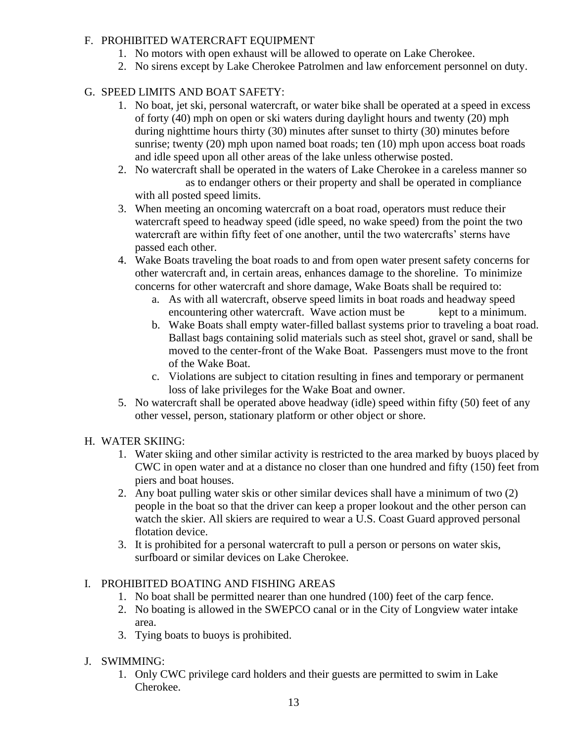## F. PROHIBITED WATERCRAFT EQUIPMENT

- 1. No motors with open exhaust will be allowed to operate on Lake Cherokee.
- 2. No sirens except by Lake Cherokee Patrolmen and law enforcement personnel on duty.

# G. SPEED LIMITS AND BOAT SAFETY:

- 1. No boat, jet ski, personal watercraft, or water bike shall be operated at a speed in excess of forty (40) mph on open or ski waters during daylight hours and twenty (20) mph during nighttime hours thirty (30) minutes after sunset to thirty (30) minutes before sunrise; twenty (20) mph upon named boat roads; ten (10) mph upon access boat roads and idle speed upon all other areas of the lake unless otherwise posted.
- 2. No watercraft shall be operated in the waters of Lake Cherokee in a careless manner so as to endanger others or their property and shall be operated in compliance with all posted speed limits.
- 3. When meeting an oncoming watercraft on a boat road, operators must reduce their watercraft speed to headway speed (idle speed, no wake speed) from the point the two watercraft are within fifty feet of one another, until the two watercrafts' sterns have passed each other.
- 4. Wake Boats traveling the boat roads to and from open water present safety concerns for other watercraft and, in certain areas, enhances damage to the shoreline. To minimize concerns for other watercraft and shore damage, Wake Boats shall be required to:
	- a. As with all watercraft, observe speed limits in boat roads and headway speed encountering other watercraft. Wave action must be kept to a minimum.
	- b. Wake Boats shall empty water-filled ballast systems prior to traveling a boat road. Ballast bags containing solid materials such as steel shot, gravel or sand, shall be moved to the center-front of the Wake Boat. Passengers must move to the front of the Wake Boat.
	- c. Violations are subject to citation resulting in fines and temporary or permanent loss of lake privileges for the Wake Boat and owner.
- 5. No watercraft shall be operated above headway (idle) speed within fifty (50) feet of any other vessel, person, stationary platform or other object or shore.

## H. WATER SKIING:

- 1. Water skiing and other similar activity is restricted to the area marked by buoys placed by CWC in open water and at a distance no closer than one hundred and fifty (150) feet from piers and boat houses.
- 2. Any boat pulling water skis or other similar devices shall have a minimum of two (2) people in the boat so that the driver can keep a proper lookout and the other person can watch the skier. All skiers are required to wear a U.S. Coast Guard approved personal flotation device.
- 3. It is prohibited for a personal watercraft to pull a person or persons on water skis, surfboard or similar devices on Lake Cherokee.

## I. PROHIBITED BOATING AND FISHING AREAS

- 1. No boat shall be permitted nearer than one hundred (100) feet of the carp fence.
- 2. No boating is allowed in the SWEPCO canal or in the City of Longview water intake area.
- 3. Tying boats to buoys is prohibited.

# J. SWIMMING:

1. Only CWC privilege card holders and their guests are permitted to swim in Lake Cherokee.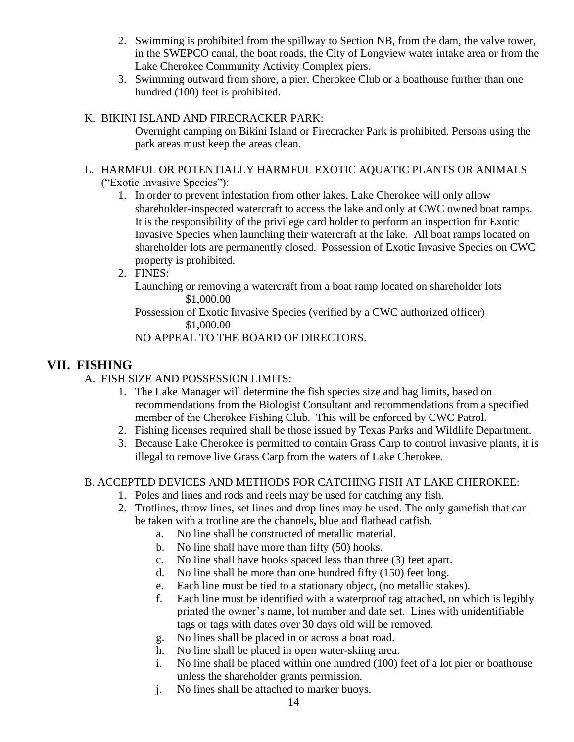- 2. Swimming is prohibited from the spillway to Section NB, from the dam, the valve tower, in the SWEPCO canal, the boat roads, the City of Longview water intake area or from the Lake Cherokee Community Activity Complex piers.
- 3. Swimming outward from shore, a pier, Cherokee Club or a boathouse further than one hundred (100) feet is prohibited.

## K. BIKINI ISLAND AND FIRECRACKER PARK:

Overnight camping on Bikini Island or Firecracker Park is prohibited. Persons using the park areas must keep the areas clean.

#### L. HARMFUL OR POTENTIALLY HARMFUL EXOTIC AQUATIC PLANTS OR ANIMALS ("Exotic Invasive Species"):

- 1. In order to prevent infestation from other lakes, Lake Cherokee will only allow shareholder-inspected watercraft to access the lake and only at CWC owned boat ramps. It is the responsibility of the privilege card holder to perform an inspection for Exotic Invasive Species when launching their watercraft at the lake. All boat ramps located on shareholder lots are permanently closed. Possession of Exotic Invasive Species on CWC property is prohibited.
- 2. FINES:

Launching or removing a watercraft from a boat ramp located on shareholder lots \$1,000.00

Possession of Exotic Invasive Species (verified by a CWC authorized officer) \$1,000.00

NO APPEAL TO THE BOARD OF DIRECTORS.

# **VII. FISHING**

- A. FISH SIZE AND POSSESSION LIMITS:
	- 1. The Lake Manager will determine the fish species size and bag limits, based on recommendations from the Biologist Consultant and recommendations from a specified member of the Cherokee Fishing Club. This will be enforced by CWC Patrol.
	- 2. Fishing licenses required shall be those issued by Texas Parks and Wildlife Department.
	- 3. Because Lake Cherokee is permitted to contain Grass Carp to control invasive plants, it is illegal to remove live Grass Carp from the waters of Lake Cherokee.

### B. ACCEPTED DEVICES AND METHODS FOR CATCHING FISH AT LAKE CHEROKEE:

- 1. Poles and lines and rods and reels may be used for catching any fish.
- 2. Trotlines, throw lines, set lines and drop lines may be used. The only gamefish that can be taken with a trotline are the channels, blue and flathead catfish.
	- a. No line shall be constructed of metallic material.
	- b. No line shall have more than fifty (50) hooks.
	- c. No line shall have hooks spaced less than three (3) feet apart.
	- d. No line shall be more than one hundred fifty (150) feet long.
	- e. Each line must be tied to a stationary object, (no metallic stakes).
	- f. Each line must be identified with a waterproof tag attached, on which is legibly printed the owner's name, lot number and date set. Lines with unidentifiable tags or tags with dates over 30 days old will be removed.
	- g. No lines shall be placed in or across a boat road.
	- h. No line shall be placed in open water-skiing area.
	- i. No line shall be placed within one hundred (100) feet of a lot pier or boathouse unless the shareholder grants permission.
	- j. No lines shall be attached to marker buoys.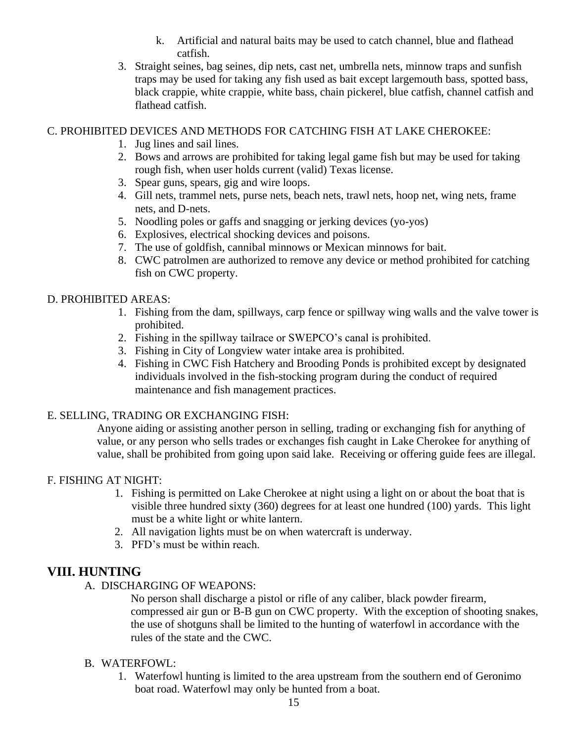- k. Artificial and natural baits may be used to catch channel, blue and flathead catfish.
- 3. Straight seines, bag seines, dip nets, cast net, umbrella nets, minnow traps and sunfish traps may be used for taking any fish used as bait except largemouth bass, spotted bass, black crappie, white crappie, white bass, chain pickerel, blue catfish, channel catfish and flathead catfish.

### C. PROHIBITED DEVICES AND METHODS FOR CATCHING FISH AT LAKE CHEROKEE:

- 1. Jug lines and sail lines.
- 2. Bows and arrows are prohibited for taking legal game fish but may be used for taking rough fish, when user holds current (valid) Texas license.
- 3. Spear guns, spears, gig and wire loops.
- 4. Gill nets, trammel nets, purse nets, beach nets, trawl nets, hoop net, wing nets, frame nets, and D-nets.
- 5. Noodling poles or gaffs and snagging or jerking devices (yo-yos)
- 6. Explosives, electrical shocking devices and poisons.
- 7. The use of goldfish, cannibal minnows or Mexican minnows for bait.
- 8. CWC patrolmen are authorized to remove any device or method prohibited for catching fish on CWC property.

### D. PROHIBITED AREAS:

- 1. Fishing from the dam, spillways, carp fence or spillway wing walls and the valve tower is prohibited.
- 2. Fishing in the spillway tailrace or SWEPCO's canal is prohibited.
- 3. Fishing in City of Longview water intake area is prohibited.
- 4. Fishing in CWC Fish Hatchery and Brooding Ponds is prohibited except by designated individuals involved in the fish-stocking program during the conduct of required maintenance and fish management practices.

### E. SELLING, TRADING OR EXCHANGING FISH:

Anyone aiding or assisting another person in selling, trading or exchanging fish for anything of value, or any person who sells trades or exchanges fish caught in Lake Cherokee for anything of value, shall be prohibited from going upon said lake. Receiving or offering guide fees are illegal.

### F. FISHING AT NIGHT:

- 1. Fishing is permitted on Lake Cherokee at night using a light on or about the boat that is visible three hundred sixty (360) degrees for at least one hundred (100) yards. This light must be a white light or white lantern.
- 2. All navigation lights must be on when watercraft is underway.
- 3. PFD's must be within reach.

# **VIII. HUNTING**

A. DISCHARGING OF WEAPONS:

No person shall discharge a pistol or rifle of any caliber, black powder firearm, compressed air gun or B-B gun on CWC property. With the exception of shooting snakes, the use of shotguns shall be limited to the hunting of waterfowl in accordance with the rules of the state and the CWC.

### B. WATERFOWL:

1. Waterfowl hunting is limited to the area upstream from the southern end of Geronimo boat road. Waterfowl may only be hunted from a boat.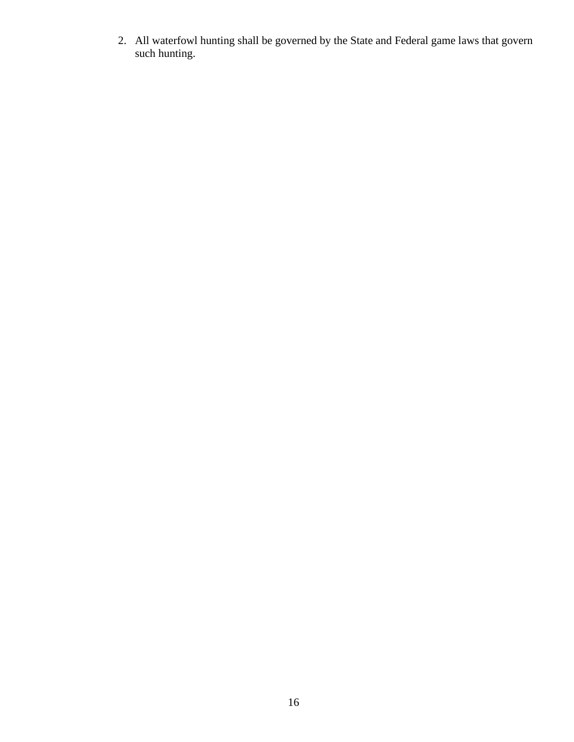2. All waterfowl hunting shall be governed by the State and Federal game laws that govern such hunting.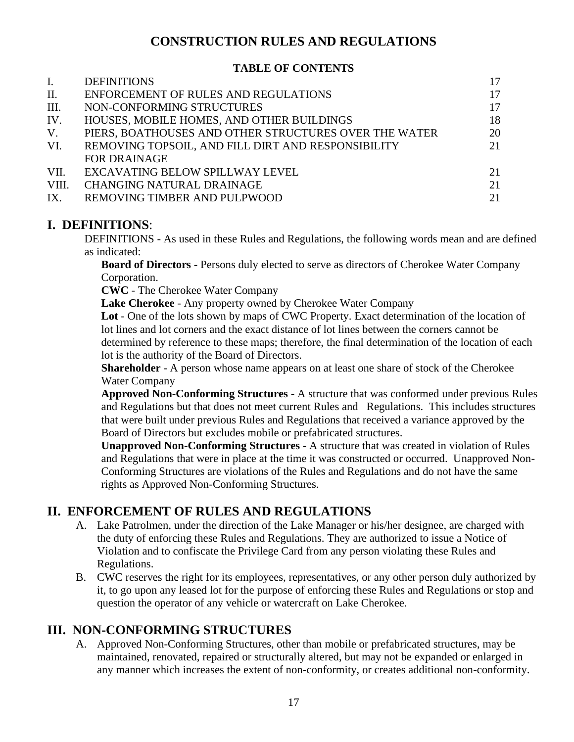# **CONSTRUCTION RULES AND REGULATIONS**

#### **TABLE OF CONTENTS**

| $\mathbf{I}$ . | <b>DEFINITIONS</b>                                    | 17 |
|----------------|-------------------------------------------------------|----|
| П.             | ENFORCEMENT OF RULES AND REGULATIONS                  | 17 |
| III.           | NON-CONFORMING STRUCTURES                             | 17 |
| IV.            | HOUSES, MOBILE HOMES, AND OTHER BUILDINGS             | 18 |
| V.             | PIERS, BOATHOUSES AND OTHER STRUCTURES OVER THE WATER | 20 |
| VI.            | REMOVING TOPSOIL, AND FILL DIRT AND RESPONSIBILITY    | 21 |
|                | <b>FOR DRAINAGE</b>                                   |    |
| VII.           | EXCAVATING BELOW SPILLWAY LEVEL                       | 21 |
| VIII.          | <b>CHANGING NATURAL DRAINAGE</b>                      | 21 |
| IX.            | REMOVING TIMBER AND PULPWOOD                          | 21 |

## **I. DEFINITIONS**:

DEFINITIONS - As used in these Rules and Regulations, the following words mean and are defined as indicated:

**Board of Directors** - Persons duly elected to serve as directors of Cherokee Water Company Corporation.

**CWC** - The Cherokee Water Company

**Lake Cherokee** - Any property owned by Cherokee Water Company

**Lot** - One of the lots shown by maps of CWC Property. Exact determination of the location of lot lines and lot corners and the exact distance of lot lines between the corners cannot be determined by reference to these maps; therefore, the final determination of the location of each lot is the authority of the Board of Directors.

**Shareholder** - A person whose name appears on at least one share of stock of the Cherokee Water Company

**Approved Non-Conforming Structures** - A structure that was conformed under previous Rules and Regulations but that does not meet current Rules and Regulations. This includes structures that were built under previous Rules and Regulations that received a variance approved by the Board of Directors but excludes mobile or prefabricated structures.

**Unapproved Non-Conforming Structures** - A structure that was created in violation of Rules and Regulations that were in place at the time it was constructed or occurred. Unapproved Non-Conforming Structures are violations of the Rules and Regulations and do not have the same rights as Approved Non-Conforming Structures.

# **II. ENFORCEMENT OF RULES AND REGULATIONS**

- A. Lake Patrolmen, under the direction of the Lake Manager or his/her designee, are charged with the duty of enforcing these Rules and Regulations. They are authorized to issue a Notice of Violation and to confiscate the Privilege Card from any person violating these Rules and Regulations.
- B. CWC reserves the right for its employees, representatives, or any other person duly authorized by it, to go upon any leased lot for the purpose of enforcing these Rules and Regulations or stop and question the operator of any vehicle or watercraft on Lake Cherokee.

# **III. NON-CONFORMING STRUCTURES**

A. Approved Non-Conforming Structures, other than mobile or prefabricated structures, may be maintained, renovated, repaired or structurally altered, but may not be expanded or enlarged in any manner which increases the extent of non-conformity, or creates additional non-conformity.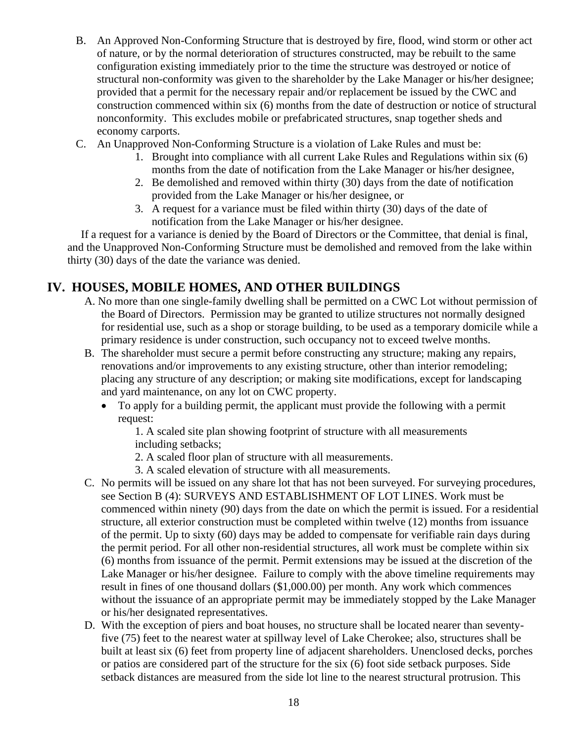- B. An Approved Non-Conforming Structure that is destroyed by fire, flood, wind storm or other act of nature, or by the normal deterioration of structures constructed, may be rebuilt to the same configuration existing immediately prior to the time the structure was destroyed or notice of structural non-conformity was given to the shareholder by the Lake Manager or his/her designee; provided that a permit for the necessary repair and/or replacement be issued by the CWC and construction commenced within six (6) months from the date of destruction or notice of structural nonconformity. This excludes mobile or prefabricated structures, snap together sheds and economy carports.
- C. An Unapproved Non-Conforming Structure is a violation of Lake Rules and must be:
	- 1. Brought into compliance with all current Lake Rules and Regulations within six (6) months from the date of notification from the Lake Manager or his/her designee,
	- 2. Be demolished and removed within thirty (30) days from the date of notification provided from the Lake Manager or his/her designee, or
	- 3. A request for a variance must be filed within thirty (30) days of the date of notification from the Lake Manager or his/her designee.

If a request for a variance is denied by the Board of Directors or the Committee, that denial is final, and the Unapproved Non-Conforming Structure must be demolished and removed from the lake within thirty (30) days of the date the variance was denied.

# **IV. HOUSES, MOBILE HOMES, AND OTHER BUILDINGS**

- A. No more than one single-family dwelling shall be permitted on a CWC Lot without permission of the Board of Directors. Permission may be granted to utilize structures not normally designed for residential use, such as a shop or storage building, to be used as a temporary domicile while a primary residence is under construction, such occupancy not to exceed twelve months.
- B. The shareholder must secure a permit before constructing any structure; making any repairs, renovations and/or improvements to any existing structure, other than interior remodeling; placing any structure of any description; or making site modifications, except for landscaping and yard maintenance, on any lot on CWC property.
	- To apply for a building permit, the applicant must provide the following with a permit request:

1. A scaled site plan showing footprint of structure with all measurements including setbacks;

- 2. A scaled floor plan of structure with all measurements.
- 3. A scaled elevation of structure with all measurements.
- C. No permits will be issued on any share lot that has not been surveyed. For surveying procedures, see Section B (4): SURVEYS AND ESTABLISHMENT OF LOT LINES. Work must be commenced within ninety (90) days from the date on which the permit is issued. For a residential structure, all exterior construction must be completed within twelve (12) months from issuance of the permit. Up to sixty (60) days may be added to compensate for verifiable rain days during the permit period. For all other non-residential structures, all work must be complete within six (6) months from issuance of the permit. Permit extensions may be issued at the discretion of the Lake Manager or his/her designee. Failure to comply with the above timeline requirements may result in fines of one thousand dollars (\$1,000.00) per month. Any work which commences without the issuance of an appropriate permit may be immediately stopped by the Lake Manager or his/her designated representatives.
- D. With the exception of piers and boat houses, no structure shall be located nearer than seventyfive (75) feet to the nearest water at spillway level of Lake Cherokee; also, structures shall be built at least six (6) feet from property line of adjacent shareholders. Unenclosed decks, porches or patios are considered part of the structure for the six (6) foot side setback purposes. Side setback distances are measured from the side lot line to the nearest structural protrusion. This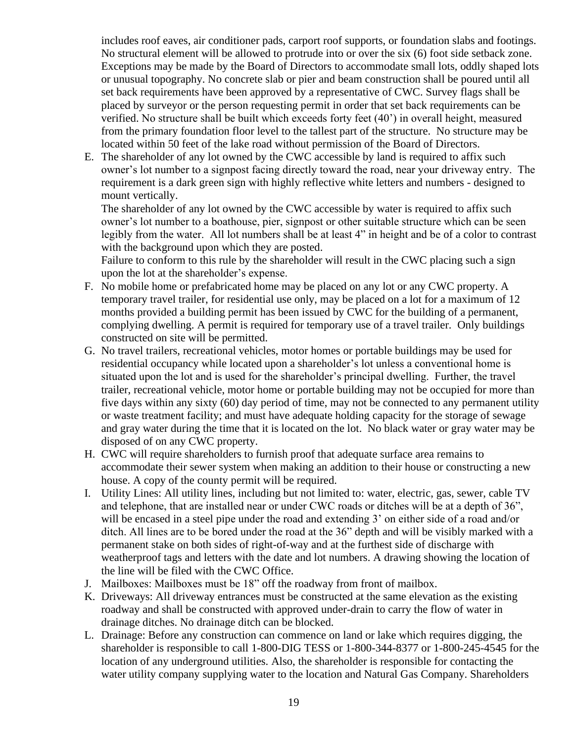includes roof eaves, air conditioner pads, carport roof supports, or foundation slabs and footings. No structural element will be allowed to protrude into or over the six (6) foot side setback zone. Exceptions may be made by the Board of Directors to accommodate small lots, oddly shaped lots or unusual topography. No concrete slab or pier and beam construction shall be poured until all set back requirements have been approved by a representative of CWC. Survey flags shall be placed by surveyor or the person requesting permit in order that set back requirements can be verified. No structure shall be built which exceeds forty feet (40') in overall height, measured from the primary foundation floor level to the tallest part of the structure. No structure may be located within 50 feet of the lake road without permission of the Board of Directors.

E. The shareholder of any lot owned by the CWC accessible by land is required to affix such owner's lot number to a signpost facing directly toward the road, near your driveway entry. The requirement is a dark green sign with highly reflective white letters and numbers - designed to mount vertically.

The shareholder of any lot owned by the CWC accessible by water is required to affix such owner's lot number to a boathouse, pier, signpost or other suitable structure which can be seen legibly from the water. All lot numbers shall be at least 4" in height and be of a color to contrast with the background upon which they are posted.

Failure to conform to this rule by the shareholder will result in the CWC placing such a sign upon the lot at the shareholder's expense.

- F. No mobile home or prefabricated home may be placed on any lot or any CWC property. A temporary travel trailer, for residential use only, may be placed on a lot for a maximum of 12 months provided a building permit has been issued by CWC for the building of a permanent, complying dwelling. A permit is required for temporary use of a travel trailer. Only buildings constructed on site will be permitted.
- G. No travel trailers, recreational vehicles, motor homes or portable buildings may be used for residential occupancy while located upon a shareholder's lot unless a conventional home is situated upon the lot and is used for the shareholder's principal dwelling. Further, the travel trailer, recreational vehicle, motor home or portable building may not be occupied for more than five days within any sixty (60) day period of time, may not be connected to any permanent utility or waste treatment facility; and must have adequate holding capacity for the storage of sewage and gray water during the time that it is located on the lot. No black water or gray water may be disposed of on any CWC property.
- H. CWC will require shareholders to furnish proof that adequate surface area remains to accommodate their sewer system when making an addition to their house or constructing a new house. A copy of the county permit will be required.
- I. Utility Lines: All utility lines, including but not limited to: water, electric, gas, sewer, cable TV and telephone, that are installed near or under CWC roads or ditches will be at a depth of 36", will be encased in a steel pipe under the road and extending 3' on either side of a road and/or ditch. All lines are to be bored under the road at the 36" depth and will be visibly marked with a permanent stake on both sides of right-of-way and at the furthest side of discharge with weatherproof tags and letters with the date and lot numbers. A drawing showing the location of the line will be filed with the CWC Office.
- J. Mailboxes: Mailboxes must be 18" off the roadway from front of mailbox.
- K. Driveways: All driveway entrances must be constructed at the same elevation as the existing roadway and shall be constructed with approved under-drain to carry the flow of water in drainage ditches. No drainage ditch can be blocked.
- L. Drainage: Before any construction can commence on land or lake which requires digging, the shareholder is responsible to call 1-800-DIG TESS or 1-800-344-8377 or 1-800-245-4545 for the location of any underground utilities. Also, the shareholder is responsible for contacting the water utility company supplying water to the location and Natural Gas Company. Shareholders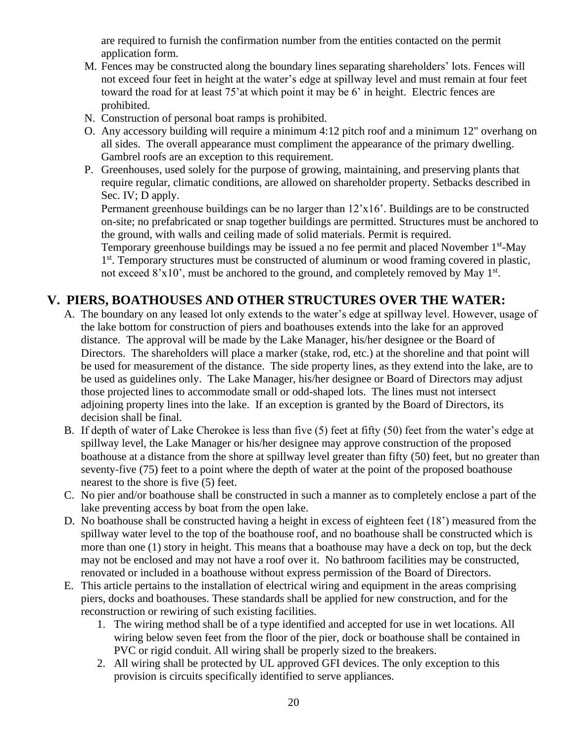are required to furnish the confirmation number from the entities contacted on the permit application form.

- M. Fences may be constructed along the boundary lines separating shareholders' lots. Fences will not exceed four feet in height at the water's edge at spillway level and must remain at four feet toward the road for at least 75'at which point it may be 6' in height. Electric fences are prohibited.
- N. Construction of personal boat ramps is prohibited.
- O. Any accessory building will require a minimum 4:12 pitch roof and a minimum 12" overhang on all sides. The overall appearance must compliment the appearance of the primary dwelling. Gambrel roofs are an exception to this requirement.
- P. Greenhouses, used solely for the purpose of growing, maintaining, and preserving plants that require regular, climatic conditions, are allowed on shareholder property. Setbacks described in Sec. IV; D apply.

Permanent greenhouse buildings can be no larger than 12'x16'. Buildings are to be constructed on-site; no prefabricated or snap together buildings are permitted. Structures must be anchored to the ground, with walls and ceiling made of solid materials. Permit is required.

Temporary greenhouse buildings may be issued a no fee permit and placed November 1<sup>st</sup>-May 1<sup>st</sup>. Temporary structures must be constructed of aluminum or wood framing covered in plastic, not exceed  $8'x10'$ , must be anchored to the ground, and completely removed by May  $1<sup>st</sup>$ .

# **V. PIERS, BOATHOUSES AND OTHER STRUCTURES OVER THE WATER:**

- A. The boundary on any leased lot only extends to the water's edge at spillway level. However, usage of the lake bottom for construction of piers and boathouses extends into the lake for an approved distance. The approval will be made by the Lake Manager, his/her designee or the Board of Directors. The shareholders will place a marker (stake, rod, etc.) at the shoreline and that point will be used for measurement of the distance. The side property lines, as they extend into the lake, are to be used as guidelines only. The Lake Manager, his/her designee or Board of Directors may adjust those projected lines to accommodate small or odd-shaped lots. The lines must not intersect adjoining property lines into the lake. If an exception is granted by the Board of Directors, its decision shall be final.
- B. If depth of water of Lake Cherokee is less than five (5) feet at fifty (50) feet from the water's edge at spillway level, the Lake Manager or his/her designee may approve construction of the proposed boathouse at a distance from the shore at spillway level greater than fifty (50) feet, but no greater than seventy-five (75) feet to a point where the depth of water at the point of the proposed boathouse nearest to the shore is five (5) feet.
- C. No pier and/or boathouse shall be constructed in such a manner as to completely enclose a part of the lake preventing access by boat from the open lake.
- D. No boathouse shall be constructed having a height in excess of eighteen feet (18') measured from the spillway water level to the top of the boathouse roof, and no boathouse shall be constructed which is more than one (1) story in height. This means that a boathouse may have a deck on top, but the deck may not be enclosed and may not have a roof over it. No bathroom facilities may be constructed, renovated or included in a boathouse without express permission of the Board of Directors.
- E. This article pertains to the installation of electrical wiring and equipment in the areas comprising piers, docks and boathouses. These standards shall be applied for new construction, and for the reconstruction or rewiring of such existing facilities.
	- 1. The wiring method shall be of a type identified and accepted for use in wet locations. All wiring below seven feet from the floor of the pier, dock or boathouse shall be contained in PVC or rigid conduit. All wiring shall be properly sized to the breakers.
	- 2. All wiring shall be protected by UL approved GFI devices. The only exception to this provision is circuits specifically identified to serve appliances.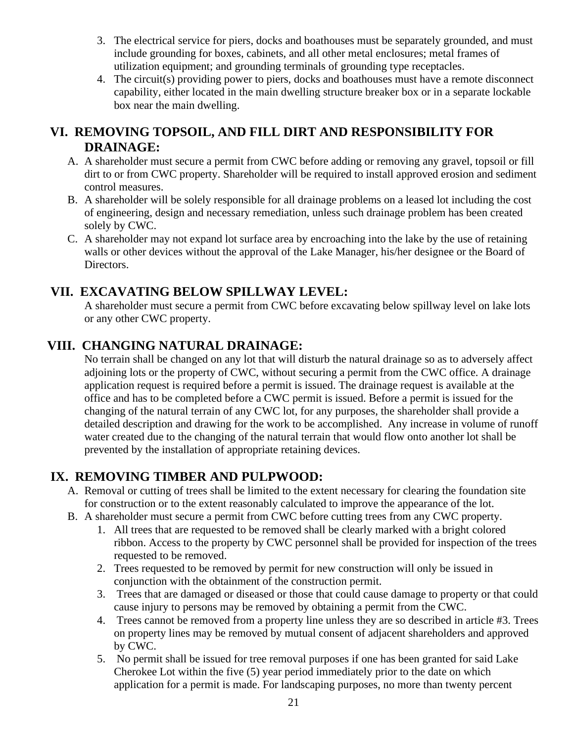- 3. The electrical service for piers, docks and boathouses must be separately grounded, and must include grounding for boxes, cabinets, and all other metal enclosures; metal frames of utilization equipment; and grounding terminals of grounding type receptacles.
- 4. The circuit(s) providing power to piers, docks and boathouses must have a remote disconnect capability, either located in the main dwelling structure breaker box or in a separate lockable box near the main dwelling.

# **VI. REMOVING TOPSOIL, AND FILL DIRT AND RESPONSIBILITY FOR DRAINAGE:**

- A. A shareholder must secure a permit from CWC before adding or removing any gravel, topsoil or fill dirt to or from CWC property. Shareholder will be required to install approved erosion and sediment control measures.
- B. A shareholder will be solely responsible for all drainage problems on a leased lot including the cost of engineering, design and necessary remediation, unless such drainage problem has been created solely by CWC.
- C. A shareholder may not expand lot surface area by encroaching into the lake by the use of retaining walls or other devices without the approval of the Lake Manager, his/her designee or the Board of Directors.

# **VII. EXCAVATING BELOW SPILLWAY LEVEL:**

A shareholder must secure a permit from CWC before excavating below spillway level on lake lots or any other CWC property.

# **VIII. CHANGING NATURAL DRAINAGE:**

No terrain shall be changed on any lot that will disturb the natural drainage so as to adversely affect adjoining lots or the property of CWC, without securing a permit from the CWC office. A drainage application request is required before a permit is issued. The drainage request is available at the office and has to be completed before a CWC permit is issued. Before a permit is issued for the changing of the natural terrain of any CWC lot, for any purposes, the shareholder shall provide a detailed description and drawing for the work to be accomplished. Any increase in volume of runoff water created due to the changing of the natural terrain that would flow onto another lot shall be prevented by the installation of appropriate retaining devices.

# **IX. REMOVING TIMBER AND PULPWOOD:**

- A. Removal or cutting of trees shall be limited to the extent necessary for clearing the foundation site for construction or to the extent reasonably calculated to improve the appearance of the lot.
- B. A shareholder must secure a permit from CWC before cutting trees from any CWC property.
	- 1. All trees that are requested to be removed shall be clearly marked with a bright colored ribbon. Access to the property by CWC personnel shall be provided for inspection of the trees requested to be removed.
	- 2. Trees requested to be removed by permit for new construction will only be issued in conjunction with the obtainment of the construction permit.
	- 3. Trees that are damaged or diseased or those that could cause damage to property or that could cause injury to persons may be removed by obtaining a permit from the CWC.
	- 4. Trees cannot be removed from a property line unless they are so described in article #3. Trees on property lines may be removed by mutual consent of adjacent shareholders and approved by CWC.
	- 5. No permit shall be issued for tree removal purposes if one has been granted for said Lake Cherokee Lot within the five (5) year period immediately prior to the date on which application for a permit is made. For landscaping purposes, no more than twenty percent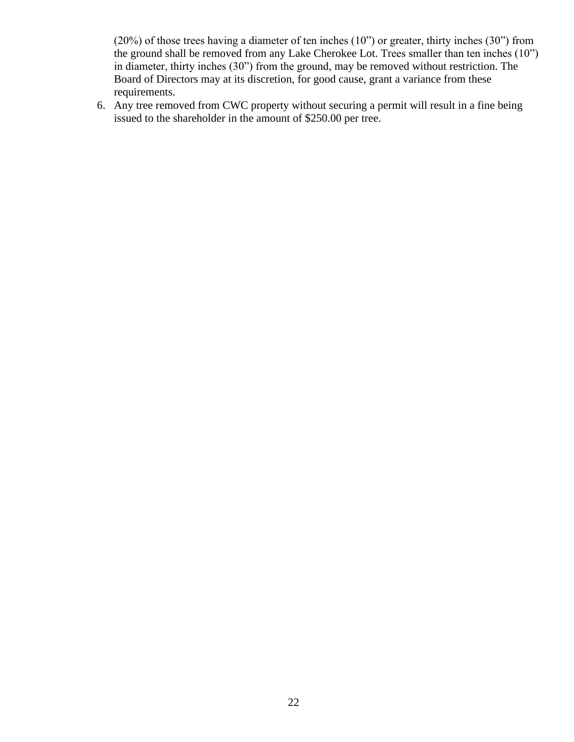(20%) of those trees having a diameter of ten inches (10") or greater, thirty inches (30") from the ground shall be removed from any Lake Cherokee Lot. Trees smaller than ten inches (10") in diameter, thirty inches (30") from the ground, may be removed without restriction. The Board of Directors may at its discretion, for good cause, grant a variance from these requirements.

6. Any tree removed from CWC property without securing a permit will result in a fine being issued to the shareholder in the amount of \$250.00 per tree.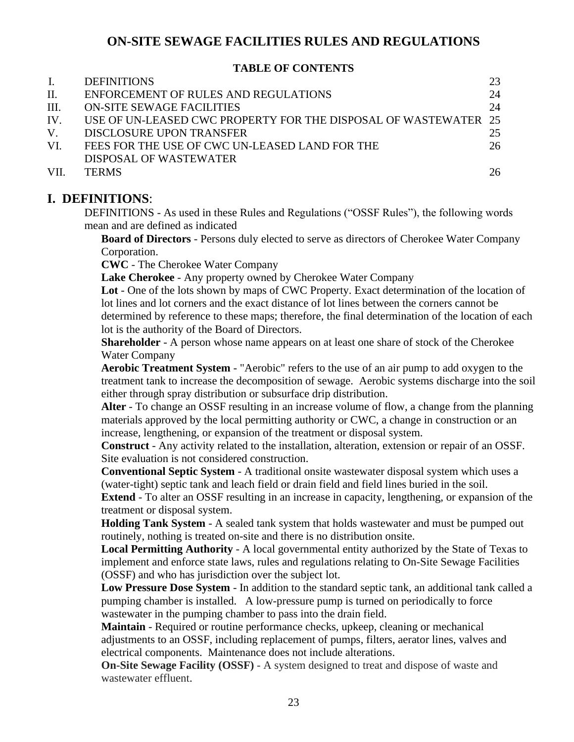# **ON-SITE SEWAGE FACILITIES RULES AND REGULATIONS**

### **TABLE OF CONTENTS**

| 24                                                              |
|-----------------------------------------------------------------|
|                                                                 |
| 24                                                              |
| USE OF UN-LEASED CWC PROPERTY FOR THE DISPOSAL OF WASTEWATER 25 |
| 25                                                              |
| 26                                                              |
|                                                                 |
| 26                                                              |
|                                                                 |

# **I. DEFINITIONS**:

DEFINITIONS - As used in these Rules and Regulations ("OSSF Rules"), the following words mean and are defined as indicated

**Board of Directors** - Persons duly elected to serve as directors of Cherokee Water Company Corporation.

**CWC** - The Cherokee Water Company

Lake Cherokee - Any property owned by Cherokee Water Company

**Lot** - One of the lots shown by maps of CWC Property. Exact determination of the location of lot lines and lot corners and the exact distance of lot lines between the corners cannot be determined by reference to these maps; therefore, the final determination of the location of each lot is the authority of the Board of Directors.

**Shareholder** - A person whose name appears on at least one share of stock of the Cherokee Water Company

**Aerobic Treatment System** - "Aerobic" refers to the use of an air pump to add oxygen to the treatment tank to increase the decomposition of sewage. Aerobic systems discharge into the soil either through spray distribution or subsurface drip distribution.

**Alter** - To change an OSSF resulting in an increase volume of flow, a change from the planning materials approved by the local permitting authority or CWC, a change in construction or an increase, lengthening, or expansion of the treatment or disposal system.

**Construct** - Any activity related to the installation, alteration, extension or repair of an OSSF. Site evaluation is not considered construction.

**Conventional Septic System** - A traditional onsite wastewater disposal system which uses a (water-tight) septic tank and leach field or drain field and field lines buried in the soil.

**Extend** - To alter an OSSF resulting in an increase in capacity, lengthening, or expansion of the treatment or disposal system.

**Holding Tank System** - A sealed tank system that holds wastewater and must be pumped out routinely, nothing is treated on-site and there is no distribution onsite.

**Local Permitting Authority** - A local governmental entity authorized by the State of Texas to implement and enforce state laws, rules and regulations relating to On-Site Sewage Facilities (OSSF) and who has jurisdiction over the subject lot.

**Low Pressure Dose System** - In addition to the standard septic tank, an additional tank called a pumping chamber is installed. A low-pressure pump is turned on periodically to force wastewater in the pumping chamber to pass into the drain field.

**Maintain** - Required or routine performance checks, upkeep, cleaning or mechanical adjustments to an OSSF, including replacement of pumps, filters, aerator lines, valves and electrical components. Maintenance does not include alterations.

**On-Site Sewage Facility (OSSF)** - A system designed to treat and dispose of waste and wastewater effluent.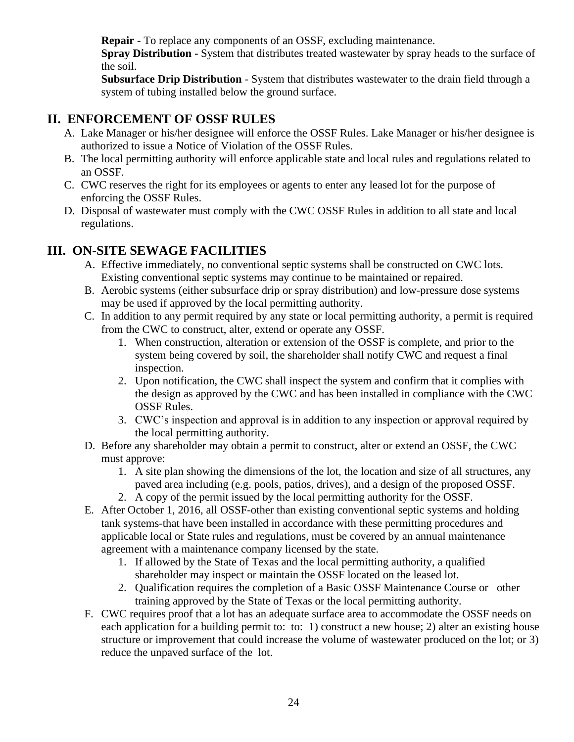**Repair** - To replace any components of an OSSF, excluding maintenance.

**Spray Distribution -** System that distributes treated wastewater by spray heads to the surface of the soil.

**Subsurface Drip Distribution** - System that distributes wastewater to the drain field through a system of tubing installed below the ground surface.

# **II. ENFORCEMENT OF OSSF RULES**

- A. Lake Manager or his/her designee will enforce the OSSF Rules. Lake Manager or his/her designee is authorized to issue a Notice of Violation of the OSSF Rules.
- B. The local permitting authority will enforce applicable state and local rules and regulations related to an OSSF.
- C. CWC reserves the right for its employees or agents to enter any leased lot for the purpose of enforcing the OSSF Rules.
- D. Disposal of wastewater must comply with the CWC OSSF Rules in addition to all state and local regulations.

# **III. ON-SITE SEWAGE FACILITIES**

- A. Effective immediately, no conventional septic systems shall be constructed on CWC lots. Existing conventional septic systems may continue to be maintained or repaired.
- B. Aerobic systems (either subsurface drip or spray distribution) and low-pressure dose systems may be used if approved by the local permitting authority.
- C. In addition to any permit required by any state or local permitting authority, a permit is required from the CWC to construct, alter, extend or operate any OSSF.
	- 1. When construction, alteration or extension of the OSSF is complete, and prior to the system being covered by soil, the shareholder shall notify CWC and request a final inspection.
	- 2. Upon notification, the CWC shall inspect the system and confirm that it complies with the design as approved by the CWC and has been installed in compliance with the CWC OSSF Rules.
	- 3. CWC's inspection and approval is in addition to any inspection or approval required by the local permitting authority.
- D. Before any shareholder may obtain a permit to construct, alter or extend an OSSF, the CWC must approve:
	- 1. A site plan showing the dimensions of the lot, the location and size of all structures, any paved area including (e.g. pools, patios, drives), and a design of the proposed OSSF.
	- 2. A copy of the permit issued by the local permitting authority for the OSSF.
- E. After October 1, 2016, all OSSF-other than existing conventional septic systems and holding tank systems-that have been installed in accordance with these permitting procedures and applicable local or State rules and regulations, must be covered by an annual maintenance agreement with a maintenance company licensed by the state.
	- 1. If allowed by the State of Texas and the local permitting authority, a qualified shareholder may inspect or maintain the OSSF located on the leased lot.
	- 2. Qualification requires the completion of a Basic OSSF Maintenance Course or other training approved by the State of Texas or the local permitting authority.
- F. CWC requires proof that a lot has an adequate surface area to accommodate the OSSF needs on each application for a building permit to: to: 1) construct a new house; 2) alter an existing house structure or improvement that could increase the volume of wastewater produced on the lot; or 3) reduce the unpaved surface of the lot.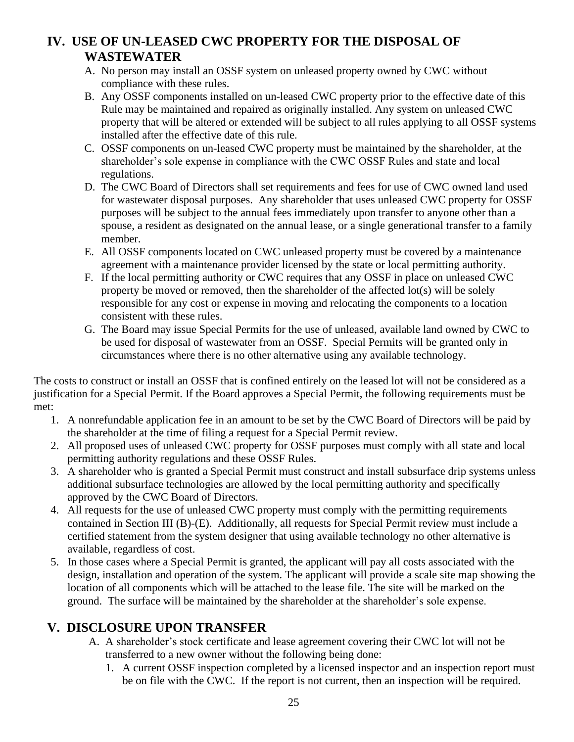# **IV. USE OF UN-LEASED CWC PROPERTY FOR THE DISPOSAL OF WASTEWATER**

- A. No person may install an OSSF system on unleased property owned by CWC without compliance with these rules.
- B. Any OSSF components installed on un-leased CWC property prior to the effective date of this Rule may be maintained and repaired as originally installed. Any system on unleased CWC property that will be altered or extended will be subject to all rules applying to all OSSF systems installed after the effective date of this rule.
- C. OSSF components on un-leased CWC property must be maintained by the shareholder, at the shareholder's sole expense in compliance with the CWC OSSF Rules and state and local regulations.
- D. The CWC Board of Directors shall set requirements and fees for use of CWC owned land used for wastewater disposal purposes. Any shareholder that uses unleased CWC property for OSSF purposes will be subject to the annual fees immediately upon transfer to anyone other than a spouse, a resident as designated on the annual lease, or a single generational transfer to a family member.
- E. All OSSF components located on CWC unleased property must be covered by a maintenance agreement with a maintenance provider licensed by the state or local permitting authority.
- F. If the local permitting authority or CWC requires that any OSSF in place on unleased CWC property be moved or removed, then the shareholder of the affected lot(s) will be solely responsible for any cost or expense in moving and relocating the components to a location consistent with these rules.
- G. The Board may issue Special Permits for the use of unleased, available land owned by CWC to be used for disposal of wastewater from an OSSF. Special Permits will be granted only in circumstances where there is no other alternative using any available technology.

The costs to construct or install an OSSF that is confined entirely on the leased lot will not be considered as a justification for a Special Permit. If the Board approves a Special Permit, the following requirements must be met:

- 1. A nonrefundable application fee in an amount to be set by the CWC Board of Directors will be paid by the shareholder at the time of filing a request for a Special Permit review.
- 2. All proposed uses of unleased CWC property for OSSF purposes must comply with all state and local permitting authority regulations and these OSSF Rules.
- 3. A shareholder who is granted a Special Permit must construct and install subsurface drip systems unless additional subsurface technologies are allowed by the local permitting authority and specifically approved by the CWC Board of Directors.
- 4. All requests for the use of unleased CWC property must comply with the permitting requirements contained in Section III (B)-(E). Additionally, all requests for Special Permit review must include a certified statement from the system designer that using available technology no other alternative is available, regardless of cost.
- 5. In those cases where a Special Permit is granted, the applicant will pay all costs associated with the design, installation and operation of the system. The applicant will provide a scale site map showing the location of all components which will be attached to the lease file. The site will be marked on the ground. The surface will be maintained by the shareholder at the shareholder's sole expense.

# **V. DISCLOSURE UPON TRANSFER**

- A. A shareholder's stock certificate and lease agreement covering their CWC lot will not be transferred to a new owner without the following being done:
	- 1. A current OSSF inspection completed by a licensed inspector and an inspection report must be on file with the CWC. If the report is not current, then an inspection will be required.